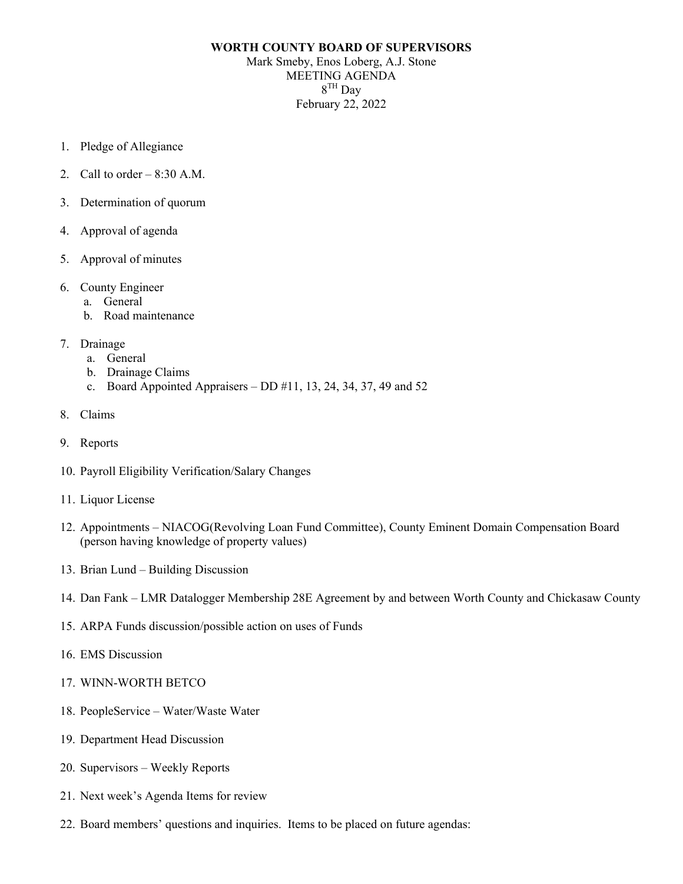## **WORTH COUNTY BOARD OF SUPERVISORS** Mark Smeby, Enos Loberg, A.J. Stone MEETING AGENDA  $8<sup>TH</sup>$  Day February 22, 2022

- 1. Pledge of Allegiance
- 2. Call to order  $-8:30$  A.M.
- 3. Determination of quorum
- 4. Approval of agenda
- 5. Approval of minutes
- 6. County Engineer
	- a. General
	- b. Road maintenance
- 7. Drainage
	- a. General
	- b. Drainage Claims
	- c. Board Appointed Appraisers DD #11, 13, 24, 34, 37, 49 and 52
- 8. Claims
- 9. Reports
- 10. Payroll Eligibility Verification/Salary Changes
- 11. Liquor License
- 12. Appointments NIACOG(Revolving Loan Fund Committee), County Eminent Domain Compensation Board (person having knowledge of property values)
- 13. Brian Lund Building Discussion
- 14. Dan Fank LMR Datalogger Membership 28E Agreement by and between Worth County and Chickasaw County
- 15. ARPA Funds discussion/possible action on uses of Funds
- 16. EMS Discussion
- 17. WINN-WORTH BETCO
- 18. PeopleService Water/Waste Water
- 19. Department Head Discussion
- 20. Supervisors Weekly Reports
- 21. Next week's Agenda Items for review
- 22. Board members' questions and inquiries. Items to be placed on future agendas: